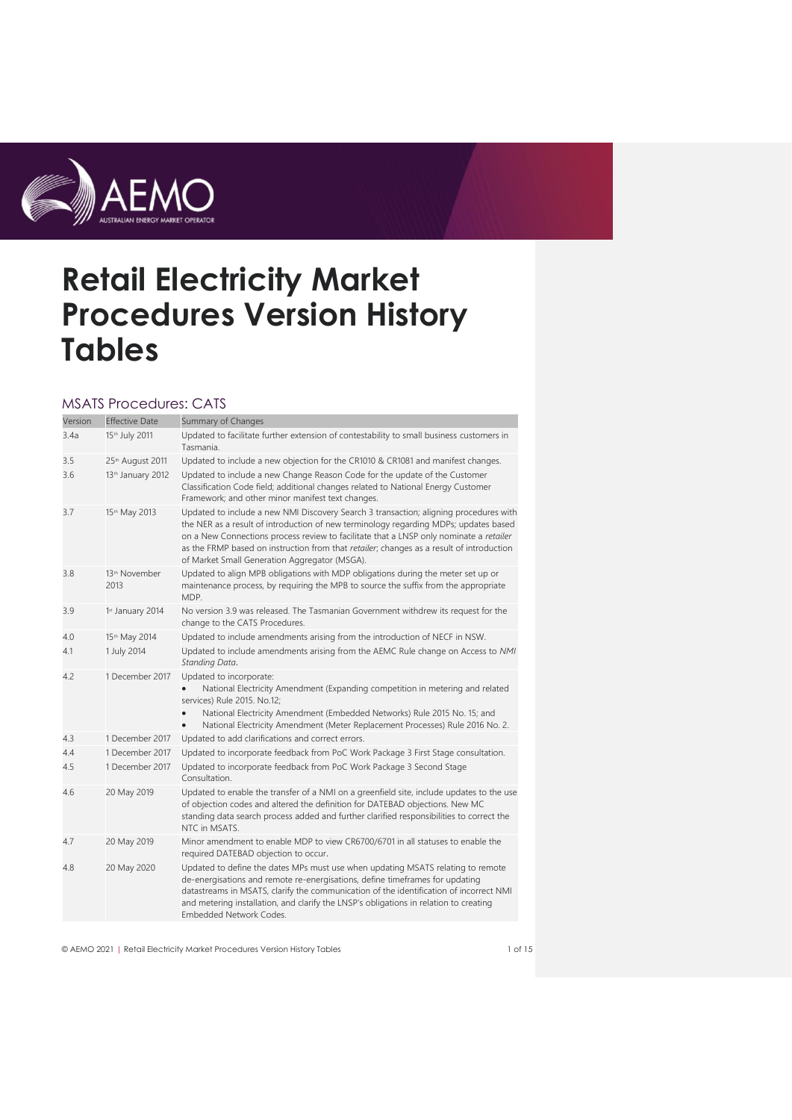

# **Retail Electricity Market Procedures Version History Tables**

#### MSATS Procedures: CATS

| Version | <b>Effective Date</b>             | Summary of Changes                                                                                                                                                                                                                                                                                                                                                                                                   |
|---------|-----------------------------------|----------------------------------------------------------------------------------------------------------------------------------------------------------------------------------------------------------------------------------------------------------------------------------------------------------------------------------------------------------------------------------------------------------------------|
| 3.4a    | 15th July 2011                    | Updated to facilitate further extension of contestability to small business customers in<br>Tasmania.                                                                                                                                                                                                                                                                                                                |
| 3.5     | 25th August 2011                  | Updated to include a new objection for the CR1010 & CR1081 and manifest changes.                                                                                                                                                                                                                                                                                                                                     |
| 3.6     | 13 <sup>th</sup> January 2012     | Updated to include a new Change Reason Code for the update of the Customer<br>Classification Code field; additional changes related to National Energy Customer<br>Framework; and other minor manifest text changes.                                                                                                                                                                                                 |
| 3.7     | 15th May 2013                     | Updated to include a new NMI Discovery Search 3 transaction; aligning procedures with<br>the NER as a result of introduction of new terminology regarding MDPs; updates based<br>on a New Connections process review to facilitate that a LNSP only nominate a retailer<br>as the FRMP based on instruction from that retailer; changes as a result of introduction<br>of Market Small Generation Aggregator (MSGA). |
| 3.8     | 13 <sup>th</sup> November<br>2013 | Updated to align MPB obligations with MDP obligations during the meter set up or<br>maintenance process, by requiring the MPB to source the suffix from the appropriate<br>MDP.                                                                                                                                                                                                                                      |
| 3.9     | 1st January 2014                  | No version 3.9 was released. The Tasmanian Government withdrew its request for the<br>change to the CATS Procedures.                                                                                                                                                                                                                                                                                                 |
| 4.0     | 15th May 2014                     | Updated to include amendments arising from the introduction of NECF in NSW.                                                                                                                                                                                                                                                                                                                                          |
| 4.1     | 1 July 2014                       | Updated to include amendments arising from the AEMC Rule change on Access to NMI<br>Standing Data.                                                                                                                                                                                                                                                                                                                   |
| 4.2     | 1 December 2017                   | Updated to incorporate:<br>National Electricity Amendment (Expanding competition in metering and related<br>services) Rule 2015. No.12;<br>National Electricity Amendment (Embedded Networks) Rule 2015 No. 15; and<br>National Electricity Amendment (Meter Replacement Processes) Rule 2016 No. 2.                                                                                                                 |
| 4.3     | 1 December 2017                   | Updated to add clarifications and correct errors.                                                                                                                                                                                                                                                                                                                                                                    |
| 4.4     | 1 December 2017                   | Updated to incorporate feedback from PoC Work Package 3 First Stage consultation.                                                                                                                                                                                                                                                                                                                                    |
| 4.5     | 1 December 2017                   | Updated to incorporate feedback from PoC Work Package 3 Second Stage<br>Consultation.                                                                                                                                                                                                                                                                                                                                |
| 4.6     | 20 May 2019                       | Updated to enable the transfer of a NMI on a greenfield site, include updates to the use<br>of objection codes and altered the definition for DATEBAD objections. New MC<br>standing data search process added and further clarified responsibilities to correct the<br>NTC in MSATS.                                                                                                                                |
| 4.7     | 20 May 2019                       | Minor amendment to enable MDP to view CR6700/6701 in all statuses to enable the<br>required DATEBAD objection to occur.                                                                                                                                                                                                                                                                                              |
| 4.8     | 20 May 2020                       | Updated to define the dates MPs must use when updating MSATS relating to remote<br>de-energisations and remote re-energisations, define timeframes for updating<br>datastreams in MSATS, clarify the communication of the identification of incorrect NMI<br>and metering installation, and clarify the LNSP's obligations in relation to creating<br>Embedded Network Codes.                                        |

© AEMO 2021 | Retail Electricity Market Procedures Version History Tables 1 of 15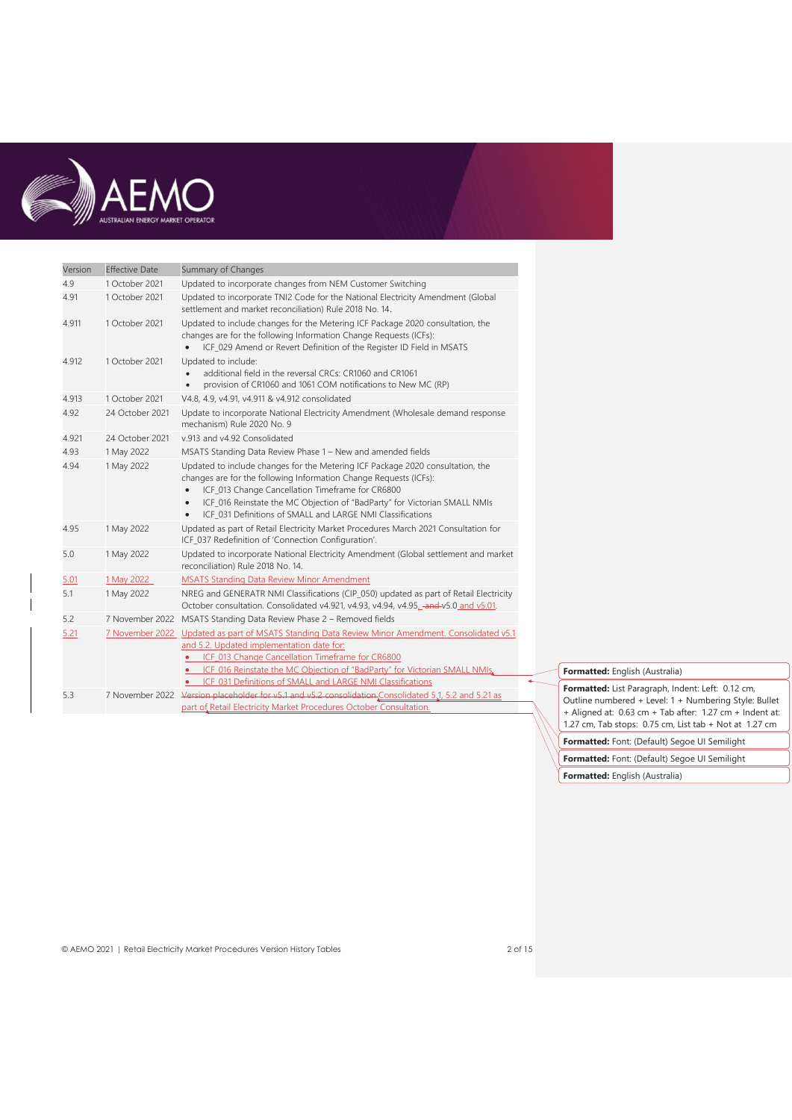

| Version | <b>Effective Date</b> | Summary of Changes                                                                                                                                                                                                                                                                                                                                                                        |
|---------|-----------------------|-------------------------------------------------------------------------------------------------------------------------------------------------------------------------------------------------------------------------------------------------------------------------------------------------------------------------------------------------------------------------------------------|
| 4.9     | 1 October 2021        | Updated to incorporate changes from NEM Customer Switching                                                                                                                                                                                                                                                                                                                                |
| 4.91    | 1 October 2021        | Updated to incorporate TNI2 Code for the National Electricity Amendment (Global<br>settlement and market reconciliation) Rule 2018 No. 14.                                                                                                                                                                                                                                                |
| 4.911   | 1 October 2021        | Updated to include changes for the Metering ICF Package 2020 consultation, the<br>changes are for the following Information Change Requests (ICFs):<br>ICF_029 Amend or Revert Definition of the Register ID Field in MSATS                                                                                                                                                               |
| 4.912   | 1 October 2021        | Updated to include:<br>additional field in the reversal CRCs: CR1060 and CR1061<br>provision of CR1060 and 1061 COM notifications to New MC (RP)                                                                                                                                                                                                                                          |
| 4.913   | 1 October 2021        | V4.8, 4.9, v4.91, v4.911 & v4.912 consolidated                                                                                                                                                                                                                                                                                                                                            |
| 4.92    | 24 October 2021       | Update to incorporate National Electricity Amendment (Wholesale demand response<br>mechanism) Rule 2020 No. 9                                                                                                                                                                                                                                                                             |
| 4.921   | 24 October 2021       | v.913 and v4.92 Consolidated                                                                                                                                                                                                                                                                                                                                                              |
| 4.93    | 1 May 2022            | MSATS Standing Data Review Phase 1 - New and amended fields                                                                                                                                                                                                                                                                                                                               |
| 4.94    | 1 May 2022            | Updated to include changes for the Metering ICF Package 2020 consultation, the<br>changes are for the following Information Change Requests (ICFs):<br>ICF_013 Change Cancellation Timeframe for CR6800<br>$\bullet$<br>ICF_016 Reinstate the MC Objection of "BadParty" for Victorian SMALL NMIs<br>$\bullet$<br>ICF 031 Definitions of SMALL and LARGE NMI Classifications<br>$\bullet$ |
| 4.95    | 1 May 2022            | Updated as part of Retail Electricity Market Procedures March 2021 Consultation for<br>ICF 037 Redefinition of 'Connection Configuration'.                                                                                                                                                                                                                                                |
| 5.0     | 1 May 2022            | Updated to incorporate National Electricity Amendment (Global settlement and market<br>reconciliation) Rule 2018 No. 14.                                                                                                                                                                                                                                                                  |
| 5.01    | 1 May 2022            | <b>MSATS Standing Data Review Minor Amendment</b>                                                                                                                                                                                                                                                                                                                                         |
| 5.1     | 1 May 2022            | NREG and GENERATR NMI Classifications (CIP_050) updated as part of Retail Electricity<br>October consultation. Consolidated v4.921, v4.93, v4.94, v4.95, and v5.01, October consultation.                                                                                                                                                                                                 |
| 5.2     | 7 November 2022       | MSATS Standing Data Review Phase 2 - Removed fields                                                                                                                                                                                                                                                                                                                                       |
| 5.21    |                       | 7 November 2022 Updated as part of MSATS Standing Data Review Minor Amendment. Consolidated v5.1<br>and 5.2. Updated implementation date for:<br>• ICF 013 Change Cancellation Timeframe for CR6800<br>• ICF_016 Reinstate the MC Objection of "BadParty" for Victorian SMALL NMIs.                                                                                                       |
|         |                       | • ICF_031 Definitions of SMALL and LARGE NMI Classifications                                                                                                                                                                                                                                                                                                                              |
| 5.3     | 7 November 2022       | Version placeholder for v5.1 and v5.2 consolidation Consolidated 5.1, 5.2 and 5.21 as                                                                                                                                                                                                                                                                                                     |
|         |                       | part of Retail Electricity Market Procedures October Consultation.                                                                                                                                                                                                                                                                                                                        |

**Formatted:** English (Australia)

**Formatted:** List Paragraph, Indent: Left: 0.12 cm, Outline numbered + Level: 1 + Numbering Style: Bullet + Aligned at: 0.63 cm + Tab after: 1.27 cm + Indent at: 1.27 cm, Tab stops: 0.75 cm, List tab + Not at 1.27 cm

**Formatted:** Font: (Default) Segoe UI Semilight

**Formatted:** Font: (Default) Segoe UI Semilight

**Formatted:** English (Australia)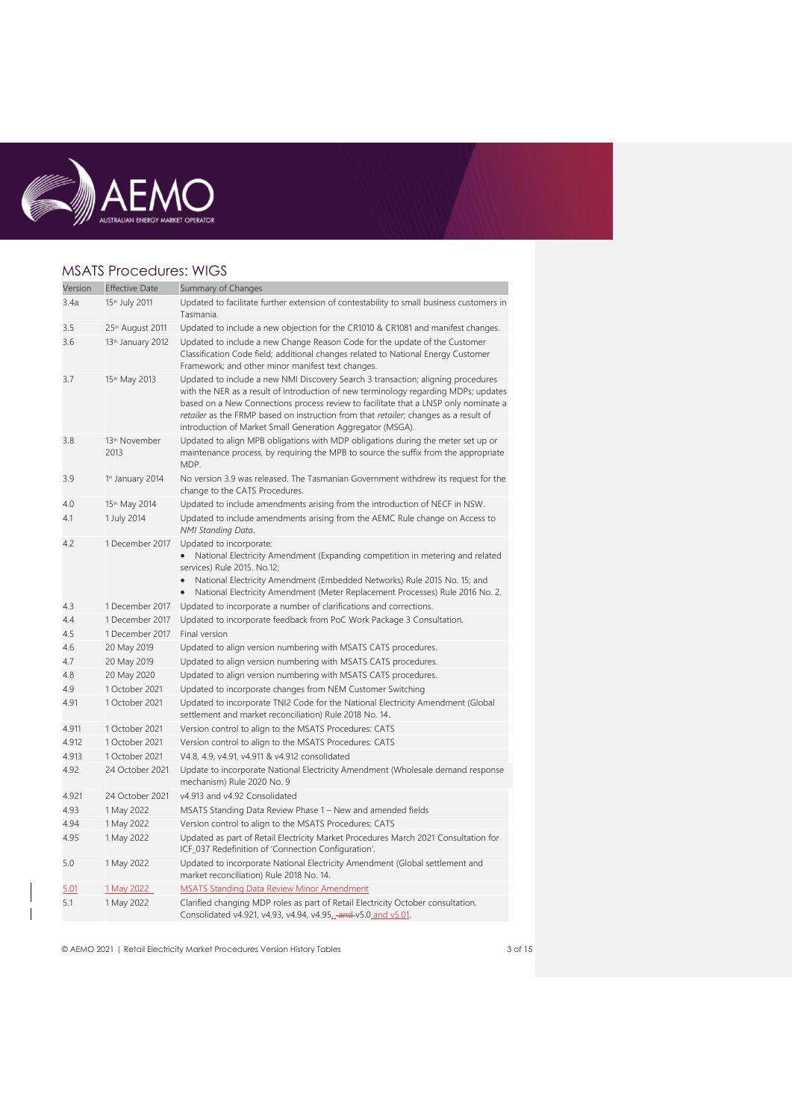

#### MSATS Procedures: WIGS

| Version    | <b>Effective Date</b>                             | Summary of Changes                                                                                                                                                                                                                                                                                                                                                                                                   |
|------------|---------------------------------------------------|----------------------------------------------------------------------------------------------------------------------------------------------------------------------------------------------------------------------------------------------------------------------------------------------------------------------------------------------------------------------------------------------------------------------|
| 3.4a       | 15th July 2011                                    | Updated to facilitate further extension of contestability to small business customers in<br>Tasmania.                                                                                                                                                                                                                                                                                                                |
| 3.5<br>3.6 | 25th August 2011<br>13 <sup>th</sup> January 2012 | Updated to include a new objection for the CR1010 & CR1081 and manifest changes.<br>Updated to include a new Change Reason Code for the update of the Customer<br>Classification Code field; additional changes related to National Energy Customer<br>Framework; and other minor manifest text changes.                                                                                                             |
| 3.7        | 15th May 2013                                     | Updated to include a new NMI Discovery Search 3 transaction; aligning procedures<br>with the NER as a result of introduction of new terminology regarding MDPs; updates<br>based on a New Connections process review to facilitate that a LNSP only nominate a<br>retailer as the FRMP based on instruction from that retailer; changes as a result of<br>introduction of Market Small Generation Aggregator (MSGA). |
| 3.8        | 13 <sup>th</sup> November<br>2013                 | Updated to align MPB obligations with MDP obligations during the meter set up or<br>maintenance process, by requiring the MPB to source the suffix from the appropriate<br>MDP.                                                                                                                                                                                                                                      |
| 3.9        | 1st January 2014                                  | No version 3.9 was released. The Tasmanian Government withdrew its request for the<br>change to the CATS Procedures.                                                                                                                                                                                                                                                                                                 |
| 4.0<br>4.1 | 15th May 2014<br>1 July 2014                      | Updated to include amendments arising from the introduction of NECF in NSW.<br>Updated to include amendments arising from the AEMC Rule change on Access to<br>NMI Standing Data.                                                                                                                                                                                                                                    |
| 4.2        | 1 December 2017                                   | Updated to incorporate:<br>National Electricity Amendment (Expanding competition in metering and related<br>services) Rule 2015. No.12;<br>National Electricity Amendment (Embedded Networks) Rule 2015 No. 15; and<br>National Electricity Amendment (Meter Replacement Processes) Rule 2016 No. 2.                                                                                                                 |
| 4.3        | 1 December 2017                                   | Updated to incorporate a number of clarifications and corrections.                                                                                                                                                                                                                                                                                                                                                   |
| 4.4        | 1 December 2017                                   | Updated to incorporate feedback from PoC Work Package 3 Consultation.                                                                                                                                                                                                                                                                                                                                                |
| 4.5        | 1 December 2017                                   | Final version                                                                                                                                                                                                                                                                                                                                                                                                        |
| 4.6        | 20 May 2019                                       | Updated to align version numbering with MSATS CATS procedures.                                                                                                                                                                                                                                                                                                                                                       |
| 4.7        | 20 May 2019                                       | Updated to align version numbering with MSATS CATS procedures.                                                                                                                                                                                                                                                                                                                                                       |
| 4.8        | 20 May 2020                                       | Updated to align version numbering with MSATS CATS procedures.                                                                                                                                                                                                                                                                                                                                                       |
| 4.9        | 1 October 2021                                    | Updated to incorporate changes from NEM Customer Switching                                                                                                                                                                                                                                                                                                                                                           |
| 4.91       | 1 October 2021                                    | Updated to incorporate TNI2 Code for the National Electricity Amendment (Global<br>settlement and market reconciliation) Rule 2018 No. 14.                                                                                                                                                                                                                                                                           |
| 4.911      | 1 October 2021                                    | Version control to align to the MSATS Procedures: CATS                                                                                                                                                                                                                                                                                                                                                               |
| 4.912      | 1 October 2021                                    | Version control to align to the MSATS Procedures: CATS                                                                                                                                                                                                                                                                                                                                                               |
| 4.913      | 1 October 2021                                    | V4.8, 4.9, v4.91, v4.911 & v4.912 consolidated                                                                                                                                                                                                                                                                                                                                                                       |
| 4.92       | 24 October 2021                                   | Update to incorporate National Electricity Amendment (Wholesale demand response<br>mechanism) Rule 2020 No. 9                                                                                                                                                                                                                                                                                                        |
| 4.921      | 24 October 2021                                   | v4.913 and v4.92 Consolidated                                                                                                                                                                                                                                                                                                                                                                                        |
| 4.93       | 1 May 2022                                        | MSATS Standing Data Review Phase 1 - New and amended fields                                                                                                                                                                                                                                                                                                                                                          |
| 4.94       | 1 May 2022                                        | Version control to align to the MSATS Procedures: CATS                                                                                                                                                                                                                                                                                                                                                               |
| 4.95       | 1 May 2022                                        | Updated as part of Retail Electricity Market Procedures March 2021 Consultation for<br>ICF_037 Redefinition of 'Connection Configuration'.                                                                                                                                                                                                                                                                           |
| 5.0        | 1 May 2022                                        | Updated to incorporate National Electricity Amendment (Global settlement and<br>market reconciliation) Rule 2018 No. 14.                                                                                                                                                                                                                                                                                             |
| 5.01       | 1 May 2022                                        | <b>MSATS Standing Data Review Minor Amendment</b>                                                                                                                                                                                                                                                                                                                                                                    |
| 5.1        | 1 May 2022                                        | Clarified changing MDP roles as part of Retail Electricity October consultation.<br>Consolidated v4.921, v4.93, v4.94, v4.95, and v5.0 and v5.01.                                                                                                                                                                                                                                                                    |

© AEMO 2021 | Retail Electricity Market Procedures Version History Tables 3 of 15

 $\overline{\phantom{a}}$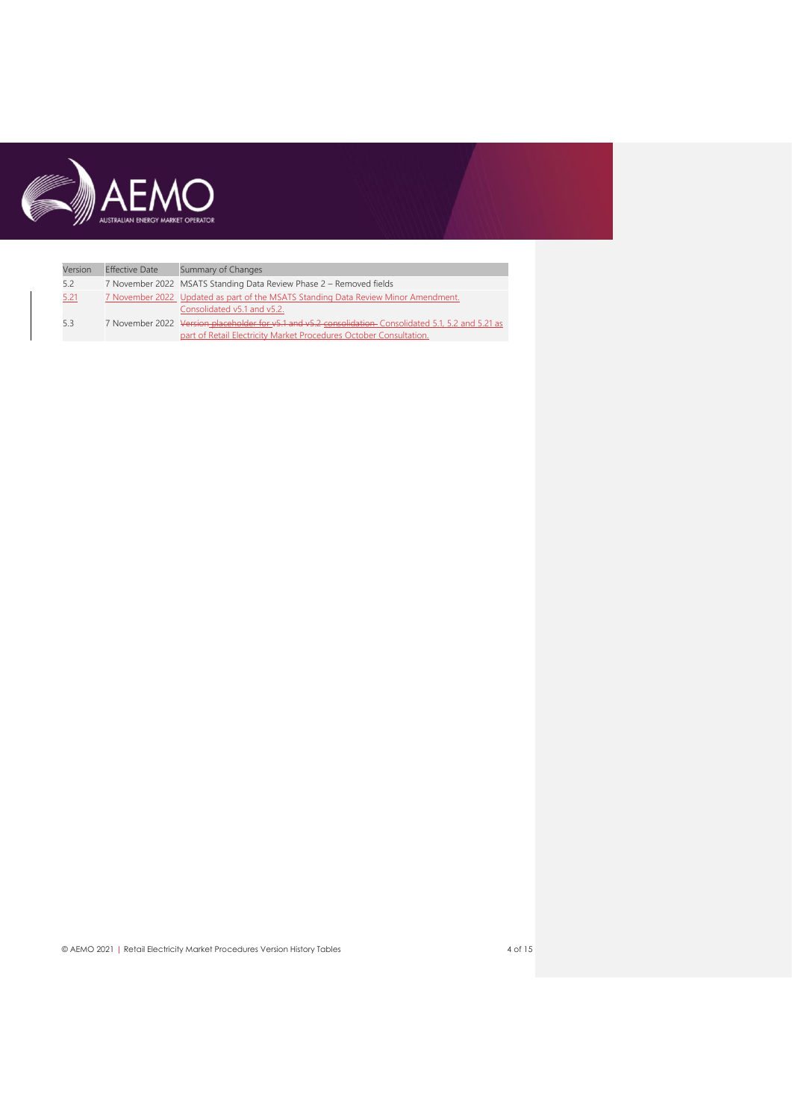

| Version | <b>Effective Date</b> | Summary of Changes                                                                                                                                                          |
|---------|-----------------------|-----------------------------------------------------------------------------------------------------------------------------------------------------------------------------|
| 5.2     |                       | 7 November 2022 MSATS Standing Data Review Phase 2 - Removed fields                                                                                                         |
| 5.21    |                       | 7 November 2022 Updated as part of the MSATS Standing Data Review Minor Amendment.<br>Consolidated v5.1 and v5.2.                                                           |
| 5.3     |                       | 7 November 2022 Version placeholder for v5.1 and v5.2 consolidation Consolidated 5.1, 5.2 and 5.21 as<br>part of Retail Electricity Market Procedures October Consultation. |

© AEMO 2021 | Retail Electricity Market Procedures Version History Tables 4 of 15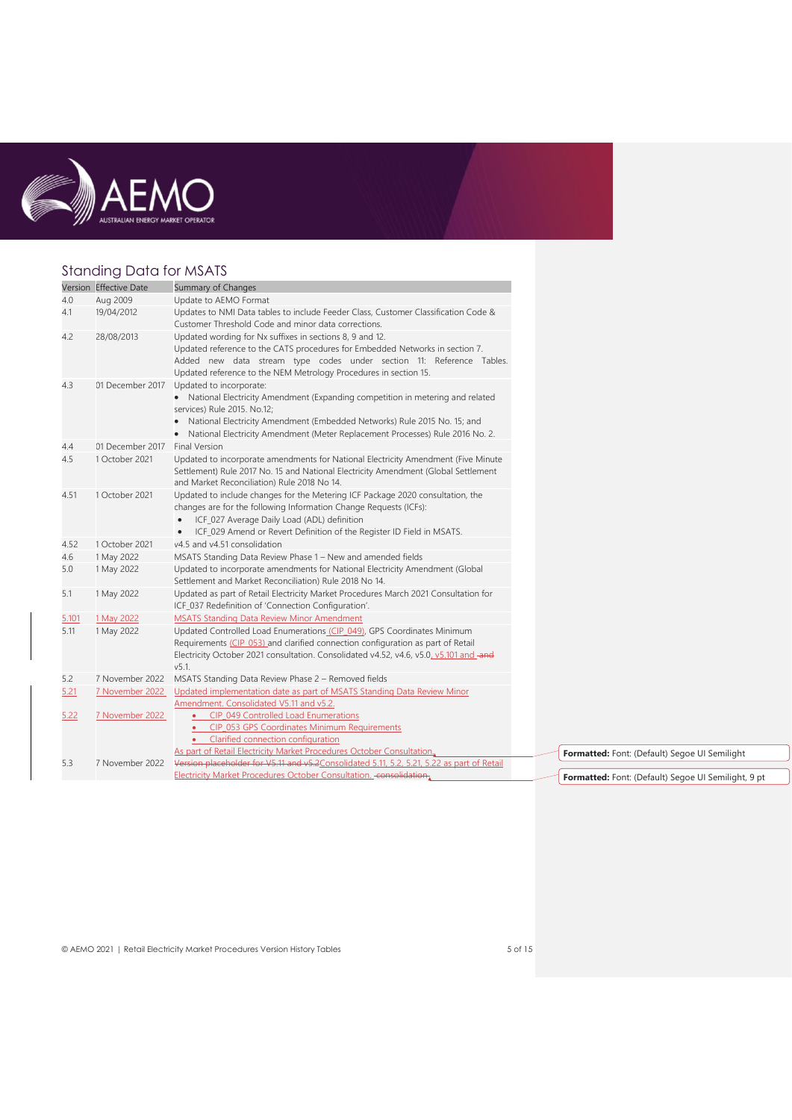

# Standing Data for MSATS

|       | Version Effective Date | Summary of Changes                                                                                                                                                                                                                                                          |
|-------|------------------------|-----------------------------------------------------------------------------------------------------------------------------------------------------------------------------------------------------------------------------------------------------------------------------|
| 4.0   | Aug 2009               | Update to AEMO Format                                                                                                                                                                                                                                                       |
| 4.1   | 19/04/2012             | Updates to NMI Data tables to include Feeder Class, Customer Classification Code &                                                                                                                                                                                          |
|       |                        | Customer Threshold Code and minor data corrections.                                                                                                                                                                                                                         |
| 4.2   | 28/08/2013             | Updated wording for Nx suffixes in sections 8, 9 and 12.<br>Updated reference to the CATS procedures for Embedded Networks in section 7.                                                                                                                                    |
|       |                        | Added new data stream type codes under section 11: Reference Tables.<br>Updated reference to the NEM Metrology Procedures in section 15.                                                                                                                                    |
| 4.3   | 01 December 2017       | Updated to incorporate:                                                                                                                                                                                                                                                     |
|       |                        | • National Electricity Amendment (Expanding competition in metering and related<br>services) Rule 2015. No.12;                                                                                                                                                              |
|       |                        | National Electricity Amendment (Embedded Networks) Rule 2015 No. 15; and<br>National Electricity Amendment (Meter Replacement Processes) Rule 2016 No. 2.                                                                                                                   |
| 4.4   | 01 December 2017       | <b>Final Version</b>                                                                                                                                                                                                                                                        |
| 4.5   | 1 October 2021         | Updated to incorporate amendments for National Electricity Amendment (Five Minute<br>Settlement) Rule 2017 No. 15 and National Electricity Amendment (Global Settlement<br>and Market Reconciliation) Rule 2018 No 14.                                                      |
| 4.51  | 1 October 2021         | Updated to include changes for the Metering ICF Package 2020 consultation, the<br>changes are for the following Information Change Requests (ICFs):<br>ICF_027 Average Daily Load (ADL) definition<br>ICF_029 Amend or Revert Definition of the Register ID Field in MSATS. |
| 4.52  | 1 October 2021         | v4.5 and v4.51 consolidation                                                                                                                                                                                                                                                |
| 4.6   | 1 May 2022             | MSATS Standing Data Review Phase 1 - New and amended fields                                                                                                                                                                                                                 |
| 5.0   | 1 May 2022             | Updated to incorporate amendments for National Electricity Amendment (Global<br>Settlement and Market Reconciliation) Rule 2018 No 14.                                                                                                                                      |
| 5.1   | 1 May 2022             | Updated as part of Retail Electricity Market Procedures March 2021 Consultation for<br>ICF_037 Redefinition of 'Connection Configuration'.                                                                                                                                  |
| 5.101 | 1 May 2022             | <b>MSATS Standing Data Review Minor Amendment</b>                                                                                                                                                                                                                           |
| 5.11  | 1 May 2022             | Updated Controlled Load Enumerations (CIP_049), GPS Coordinates Minimum<br>Requirements (CIP 053) and clarified connection configuration as part of Retail<br>Electricity October 2021 consultation. Consolidated v4.52, v4.6, v5.0, v5.101 and -and<br>v5.1.               |
| 5.2   | 7 November 2022        | MSATS Standing Data Review Phase 2 - Removed fields                                                                                                                                                                                                                         |
| 5.21  | 7 November 2022        | Updated implementation date as part of MSATS Standing Data Review Minor<br>Amendment. Consolidated V5.11 and v5.2.                                                                                                                                                          |
| 5.22  | 7 November 2022        | CIP_049 Controlled Load Enumerations<br>CIP_053 GPS Coordinates Minimum Requirements<br>$\bullet$<br>Clarified connection configuration                                                                                                                                     |
|       |                        | As part of Retail Electricity Market Procedures October Consultation.                                                                                                                                                                                                       |
| 5.3   | 7 November 2022        | Version placeholder for V5.11 and v5.2Consolidated 5.11, 5.2, 5.21, 5.22 as part of Retail<br>Electricity Market Procedures October Consultation. - consolidation.                                                                                                          |
|       |                        |                                                                                                                                                                                                                                                                             |

© AEMO 2021 | Retail Electricity Market Procedures Version History Tables 5 of 15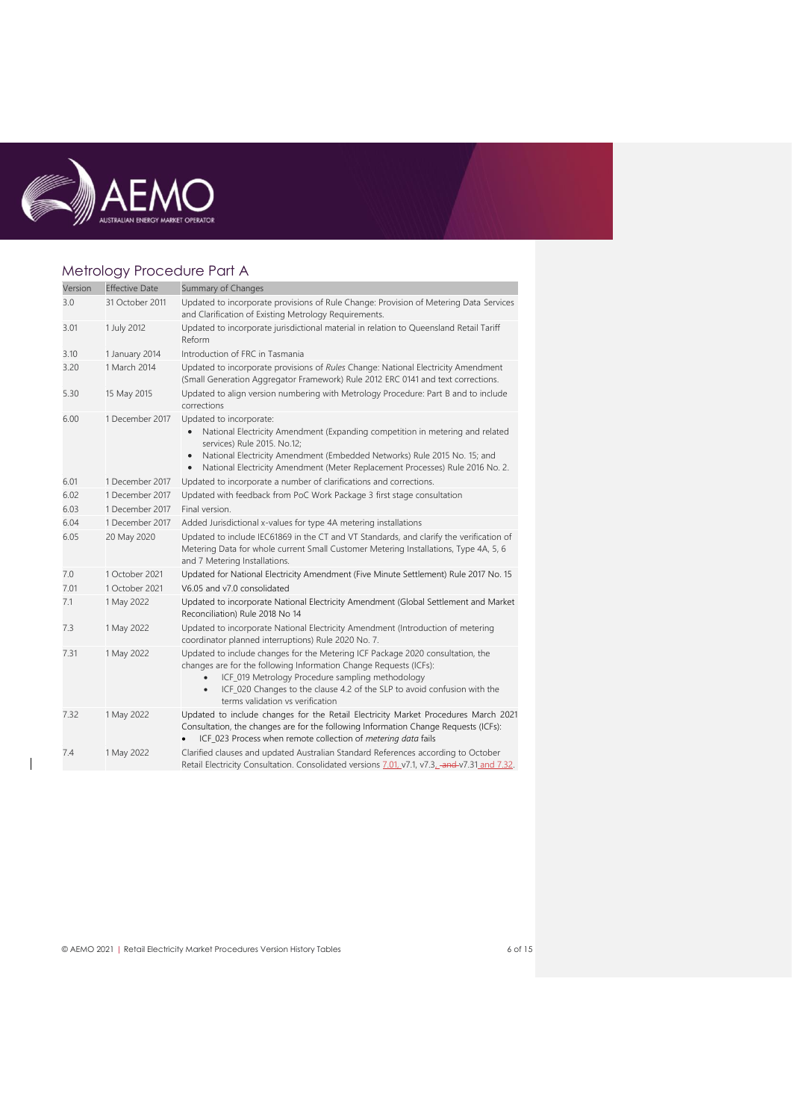

 $\overline{\phantom{a}}$ 

# Metrology Procedure Part A

| Version | <b>Effective Date</b> | Summary of Changes                                                                                                                                                                                                                                                                                                                   |
|---------|-----------------------|--------------------------------------------------------------------------------------------------------------------------------------------------------------------------------------------------------------------------------------------------------------------------------------------------------------------------------------|
| 3.0     | 31 October 2011       | Updated to incorporate provisions of Rule Change: Provision of Metering Data Services<br>and Clarification of Existing Metrology Requirements.                                                                                                                                                                                       |
| 3.01    | 1 July 2012           | Updated to incorporate jurisdictional material in relation to Queensland Retail Tariff<br>Reform                                                                                                                                                                                                                                     |
| 3.10    | 1 January 2014        | Introduction of FRC in Tasmania                                                                                                                                                                                                                                                                                                      |
| 3.20    | 1 March 2014          | Updated to incorporate provisions of Rules Change: National Electricity Amendment<br>(Small Generation Aggregator Framework) Rule 2012 ERC 0141 and text corrections.                                                                                                                                                                |
| 5.30    | 15 May 2015           | Updated to align version numbering with Metrology Procedure: Part B and to include<br>corrections                                                                                                                                                                                                                                    |
| 6.00    | 1 December 2017       | Updated to incorporate:<br>National Electricity Amendment (Expanding competition in metering and related<br>services) Rule 2015. No.12;<br>National Electricity Amendment (Embedded Networks) Rule 2015 No. 15; and<br>$\bullet$<br>National Electricity Amendment (Meter Replacement Processes) Rule 2016 No. 2.<br>$\bullet$       |
| 6.01    | 1 December 2017       | Updated to incorporate a number of clarifications and corrections.                                                                                                                                                                                                                                                                   |
| 6.02    | 1 December 2017       | Updated with feedback from PoC Work Package 3 first stage consultation                                                                                                                                                                                                                                                               |
| 6.03    | 1 December 2017       | Final version.                                                                                                                                                                                                                                                                                                                       |
| 6.04    | 1 December 2017       | Added Jurisdictional x-values for type 4A metering installations                                                                                                                                                                                                                                                                     |
| 6.05    | 20 May 2020           | Updated to include IEC61869 in the CT and VT Standards, and clarify the verification of<br>Metering Data for whole current Small Customer Metering Installations, Type 4A, 5, 6<br>and 7 Metering Installations.                                                                                                                     |
| 7.0     | 1 October 2021        | Updated for National Electricity Amendment (Five Minute Settlement) Rule 2017 No. 15                                                                                                                                                                                                                                                 |
| 7.01    | 1 October 2021        | V6.05 and v7.0 consolidated                                                                                                                                                                                                                                                                                                          |
| 7.1     | 1 May 2022            | Updated to incorporate National Electricity Amendment (Global Settlement and Market<br>Reconciliation) Rule 2018 No 14                                                                                                                                                                                                               |
| 7.3     | 1 May 2022            | Updated to incorporate National Electricity Amendment (Introduction of metering<br>coordinator planned interruptions) Rule 2020 No. 7.                                                                                                                                                                                               |
| 7.31    | 1 May 2022            | Updated to include changes for the Metering ICF Package 2020 consultation, the<br>changes are for the following Information Change Requests (ICFs):<br>ICF_019 Metrology Procedure sampling methodology<br>ICF_020 Changes to the clause 4.2 of the SLP to avoid confusion with the<br>$\bullet$<br>terms validation vs verification |
| 7.32    | 1 May 2022            | Updated to include changes for the Retail Electricity Market Procedures March 2021<br>Consultation, the changes are for the following Information Change Requests (ICFs):<br>ICF_023 Process when remote collection of metering data fails                                                                                           |
| 7.4     | 1 May 2022            | Clarified clauses and updated Australian Standard References according to October<br>Retail Electricity Consultation. Consolidated versions 7.01, v7.1, v7.3, -and-v7.31 and 7.32.                                                                                                                                                   |

© AEMO 2021 | Retail Electricity Market Procedures Version History Tables 6 of 15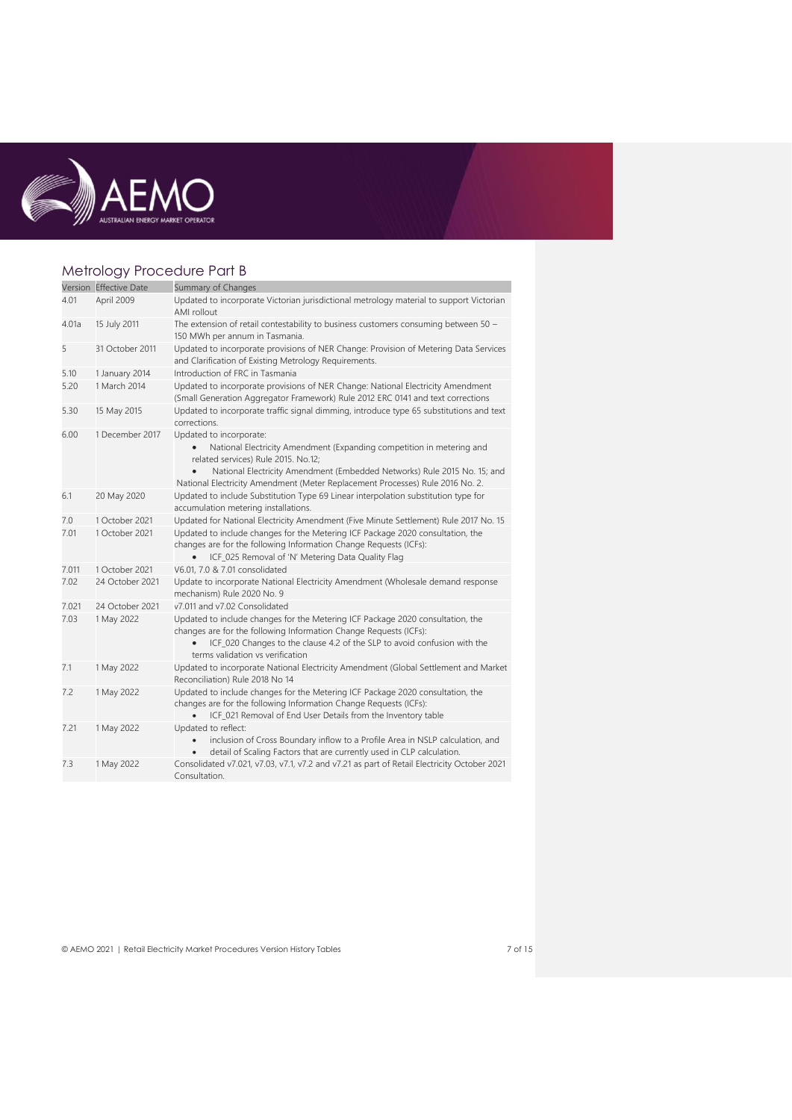

# Metrology Procedure Part B

|       | Version Effective Date | Summary of Changes                                                                                                                                                                                                                                                  |
|-------|------------------------|---------------------------------------------------------------------------------------------------------------------------------------------------------------------------------------------------------------------------------------------------------------------|
| 4.01  | April 2009             | Updated to incorporate Victorian jurisdictional metrology material to support Victorian<br>AMI rollout                                                                                                                                                              |
| 4.01a | 15 July 2011           | The extension of retail contestability to business customers consuming between 50 -<br>150 MWh per annum in Tasmania.                                                                                                                                               |
| 5     | 31 October 2011        | Updated to incorporate provisions of NER Change: Provision of Metering Data Services<br>and Clarification of Existing Metrology Requirements.                                                                                                                       |
| 5.10  | 1 January 2014         | Introduction of FRC in Tasmania                                                                                                                                                                                                                                     |
| 5.20  | 1 March 2014           | Updated to incorporate provisions of NER Change: National Electricity Amendment<br>(Small Generation Aggregator Framework) Rule 2012 ERC 0141 and text corrections                                                                                                  |
| 5.30  | 15 May 2015            | Updated to incorporate traffic signal dimming, introduce type 65 substitutions and text<br>corrections.                                                                                                                                                             |
| 6.00  | 1 December 2017        | Updated to incorporate:<br>National Electricity Amendment (Expanding competition in metering and<br>related services) Rule 2015. No.12;<br>National Electricity Amendment (Embedded Networks) Rule 2015 No. 15; and                                                 |
|       |                        | National Electricity Amendment (Meter Replacement Processes) Rule 2016 No. 2.                                                                                                                                                                                       |
| 6.1   | 20 May 2020            | Updated to include Substitution Type 69 Linear interpolation substitution type for<br>accumulation metering installations.                                                                                                                                          |
| 7.0   | 1 October 2021         | Updated for National Electricity Amendment (Five Minute Settlement) Rule 2017 No. 15                                                                                                                                                                                |
| 7.01  | 1 October 2021         | Updated to include changes for the Metering ICF Package 2020 consultation, the<br>changes are for the following Information Change Requests (ICFs):<br>ICF_025 Removal of 'N' Metering Data Quality Flag                                                            |
| 7.011 | 1 October 2021         | V6.01, 7.0 & 7.01 consolidated                                                                                                                                                                                                                                      |
| 7.02  | 24 October 2021        | Update to incorporate National Electricity Amendment (Wholesale demand response<br>mechanism) Rule 2020 No. 9                                                                                                                                                       |
| 7.021 | 24 October 2021        | v7.011 and v7.02 Consolidated                                                                                                                                                                                                                                       |
| 7.03  | 1 May 2022             | Updated to include changes for the Metering ICF Package 2020 consultation, the<br>changes are for the following Information Change Requests (ICFs):<br>ICF_020 Changes to the clause 4.2 of the SLP to avoid confusion with the<br>terms validation vs verification |
| 7.1   | 1 May 2022             | Updated to incorporate National Electricity Amendment (Global Settlement and Market<br>Reconciliation) Rule 2018 No 14                                                                                                                                              |
| 7.2   | 1 May 2022             | Updated to include changes for the Metering ICF Package 2020 consultation, the<br>changes are for the following Information Change Requests (ICFs):<br>ICF_021 Removal of End User Details from the Inventory table                                                 |
| 7.21  | 1 May 2022             | Updated to reflect:<br>inclusion of Cross Boundary inflow to a Profile Area in NSLP calculation, and<br>$\bullet$<br>detail of Scaling Factors that are currently used in CLP calculation.                                                                          |
| 7.3   | 1 May 2022             | Consolidated v7.021, v7.03, v7.1, v7.2 and v7.21 as part of Retail Electricity October 2021<br>Consultation.                                                                                                                                                        |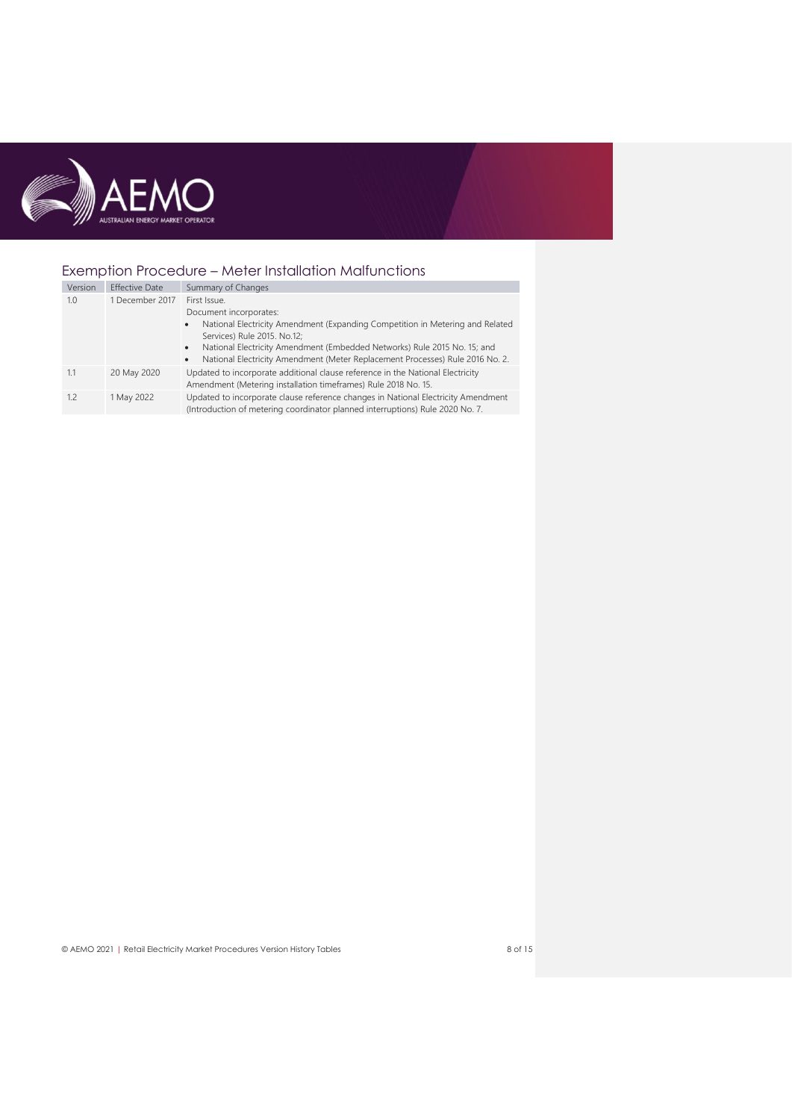

# Exemption Procedure – Meter Installation Malfunctions

| Version | <b>Effective Date</b> | Summary of Changes                                                                                                                                                                                                                                                                                                                                         |
|---------|-----------------------|------------------------------------------------------------------------------------------------------------------------------------------------------------------------------------------------------------------------------------------------------------------------------------------------------------------------------------------------------------|
| 1.0     | 1 December 2017       | First Issue.<br>Document incorporates:<br>National Electricity Amendment (Expanding Competition in Metering and Related<br>$\bullet$<br>Services) Rule 2015. No.12;<br>National Electricity Amendment (Embedded Networks) Rule 2015 No. 15; and<br>$\bullet$<br>National Electricity Amendment (Meter Replacement Processes) Rule 2016 No. 2.<br>$\bullet$ |
| 1.1     | 20 May 2020           | Updated to incorporate additional clause reference in the National Electricity<br>Amendment (Metering installation timeframes) Rule 2018 No. 15.                                                                                                                                                                                                           |
| 1.2     | 1 May 2022            | Updated to incorporate clause reference changes in National Electricity Amendment<br>(Introduction of metering coordinator planned interruptions) Rule 2020 No. 7.                                                                                                                                                                                         |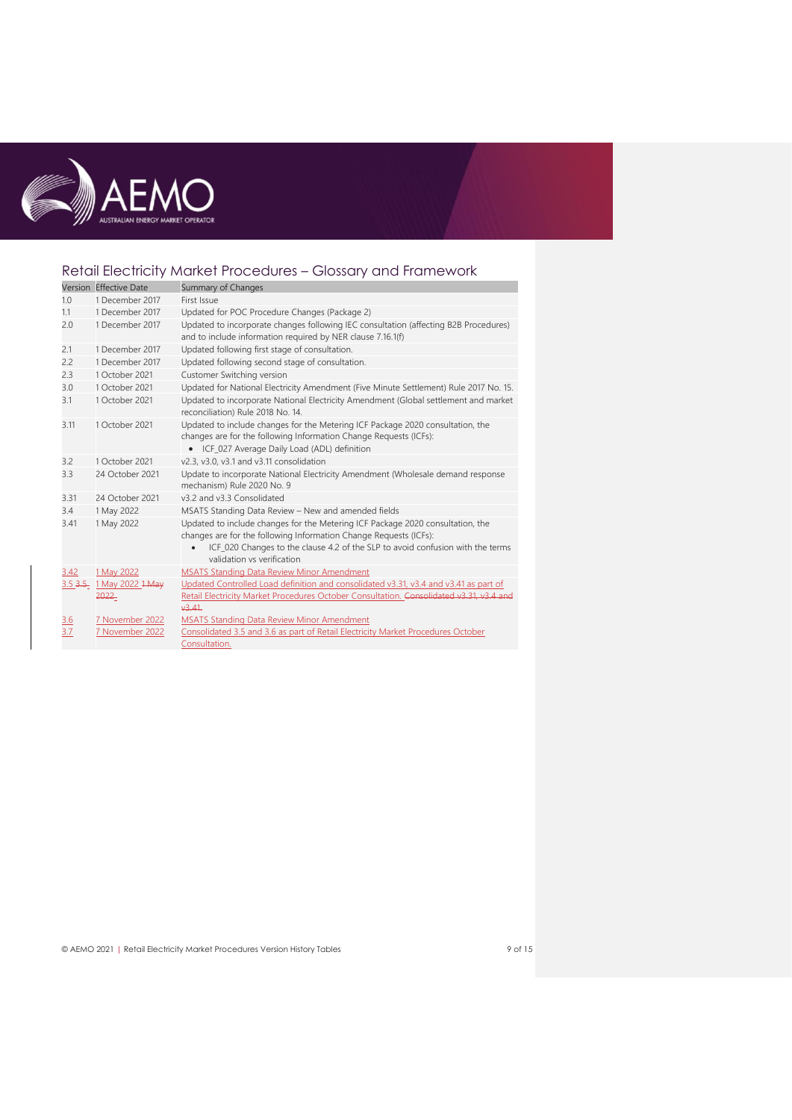

# Retail Electricity Market Procedures – Glossary and Framework

|            | Version Effective Date   | Summary of Changes                                                                                                                                                                                                                                                  |
|------------|--------------------------|---------------------------------------------------------------------------------------------------------------------------------------------------------------------------------------------------------------------------------------------------------------------|
| 1.0        | 1 December 2017          | First Issue                                                                                                                                                                                                                                                         |
| 1.1        | 1 December 2017          | Updated for POC Procedure Changes (Package 2)                                                                                                                                                                                                                       |
| 2.0        | 1 December 2017          | Updated to incorporate changes following IEC consultation (affecting B2B Procedures)<br>and to include information required by NER clause 7.16.1(f)                                                                                                                 |
| 2.1        | 1 December 2017          | Updated following first stage of consultation.                                                                                                                                                                                                                      |
| 2.2        | 1 December 2017          | Updated following second stage of consultation.                                                                                                                                                                                                                     |
| 2.3        | 1 October 2021           | Customer Switching version                                                                                                                                                                                                                                          |
| 3.0        | 1 October 2021           | Updated for National Electricity Amendment (Five Minute Settlement) Rule 2017 No. 15.                                                                                                                                                                               |
| 3.1        | 1 October 2021           | Updated to incorporate National Electricity Amendment (Global settlement and market<br>reconciliation) Rule 2018 No. 14.                                                                                                                                            |
| 3.11       | 1 October 2021           | Updated to include changes for the Metering ICF Package 2020 consultation, the<br>changes are for the following Information Change Requests (ICFs):<br>• ICF_027 Average Daily Load (ADL) definition                                                                |
| 3.2        | 1 October 2021           | v2.3, v3.0, v3.1 and v3.11 consolidation                                                                                                                                                                                                                            |
| 3.3        | 24 October 2021          | Update to incorporate National Electricity Amendment (Wholesale demand response<br>mechanism) Rule 2020 No. 9                                                                                                                                                       |
| 3.31       | 24 October 2021          | v3.2 and v3.3 Consolidated                                                                                                                                                                                                                                          |
| 3.4        | 1 May 2022               | MSATS Standing Data Review - New and amended fields                                                                                                                                                                                                                 |
| 3.41       | 1 May 2022               | Updated to include changes for the Metering ICF Package 2020 consultation, the<br>changes are for the following Information Change Requests (ICFs):<br>ICF_020 Changes to the clause 4.2 of the SLP to avoid confusion with the terms<br>validation vs verification |
| 3.42       | 1 May 2022               | <b>MSATS Standing Data Review Minor Amendment</b>                                                                                                                                                                                                                   |
|            | 3.5 3.5 1 May 2022 1 May | Updated Controlled Load definition and consolidated v3.31, v3.4 and v3.41 as part of                                                                                                                                                                                |
|            | 2022                     | Retail Electricity Market Procedures October Consultation. Consolidated v3.31, v3.4 and<br>43.41                                                                                                                                                                    |
| <u>3.6</u> | 7 November 2022          | <b>MSATS Standing Data Review Minor Amendment</b>                                                                                                                                                                                                                   |
| 3.7        | 7 November 2022          | Consolidated 3.5 and 3.6 as part of Retail Electricity Market Procedures October<br>Consultation.                                                                                                                                                                   |

© AEMO 2021 | Retail Electricity Market Procedures Version History Tables 9 of 15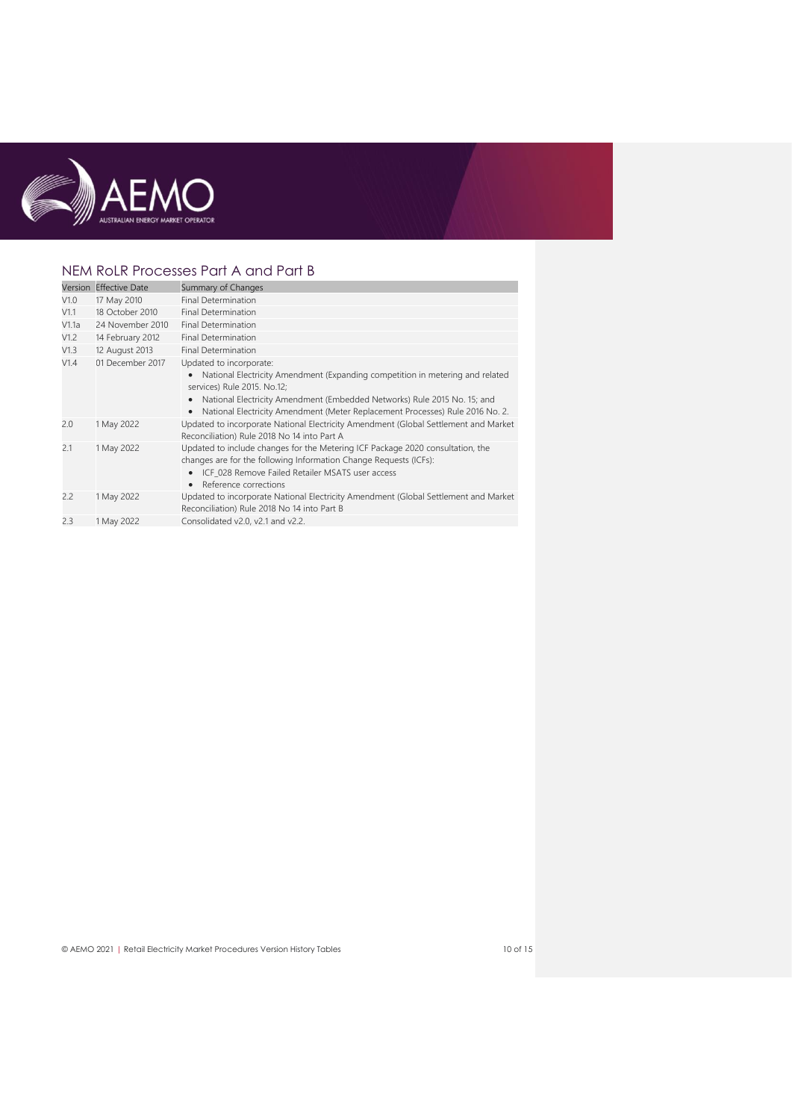

## NEM RoLR Processes Part A and Part B

|       | Version Effective Date | Summary of Changes                                                                                                                                                                                                                                                                                                             |
|-------|------------------------|--------------------------------------------------------------------------------------------------------------------------------------------------------------------------------------------------------------------------------------------------------------------------------------------------------------------------------|
| V1.0  | 17 May 2010            | <b>Final Determination</b>                                                                                                                                                                                                                                                                                                     |
| V1.1  | 18 October 2010        | <b>Final Determination</b>                                                                                                                                                                                                                                                                                                     |
| V1.1a | 24 November 2010       | <b>Final Determination</b>                                                                                                                                                                                                                                                                                                     |
| V1.2  | 14 February 2012       | <b>Final Determination</b>                                                                                                                                                                                                                                                                                                     |
| V1.3  | 12 August 2013         | <b>Final Determination</b>                                                                                                                                                                                                                                                                                                     |
| V1.4  | 01 December 2017       | Updated to incorporate:<br>National Electricity Amendment (Expanding competition in metering and related<br>services) Rule 2015. No.12;<br>National Electricity Amendment (Embedded Networks) Rule 2015 No. 15; and<br>$\bullet$<br>National Electricity Amendment (Meter Replacement Processes) Rule 2016 No. 2.<br>$\bullet$ |
| 2.0   | 1 May 2022             | Updated to incorporate National Electricity Amendment (Global Settlement and Market<br>Reconciliation) Rule 2018 No 14 into Part A                                                                                                                                                                                             |
| 2.1   | 1 May 2022             | Updated to include changes for the Metering ICF Package 2020 consultation, the<br>changes are for the following Information Change Requests (ICFs):<br>• ICF_028 Remove Failed Retailer MSATS user access<br>Reference corrections<br>$\bullet$                                                                                |
| 2.2   | 1 May 2022             | Updated to incorporate National Electricity Amendment (Global Settlement and Market<br>Reconciliation) Rule 2018 No 14 into Part B                                                                                                                                                                                             |
| 2.3   | 1 May 2022             | Consolidated v2.0, v2.1 and v2.2.                                                                                                                                                                                                                                                                                              |

© AEMO 2021 | Retail Electricity Market Procedures Version History Tables 10 of 15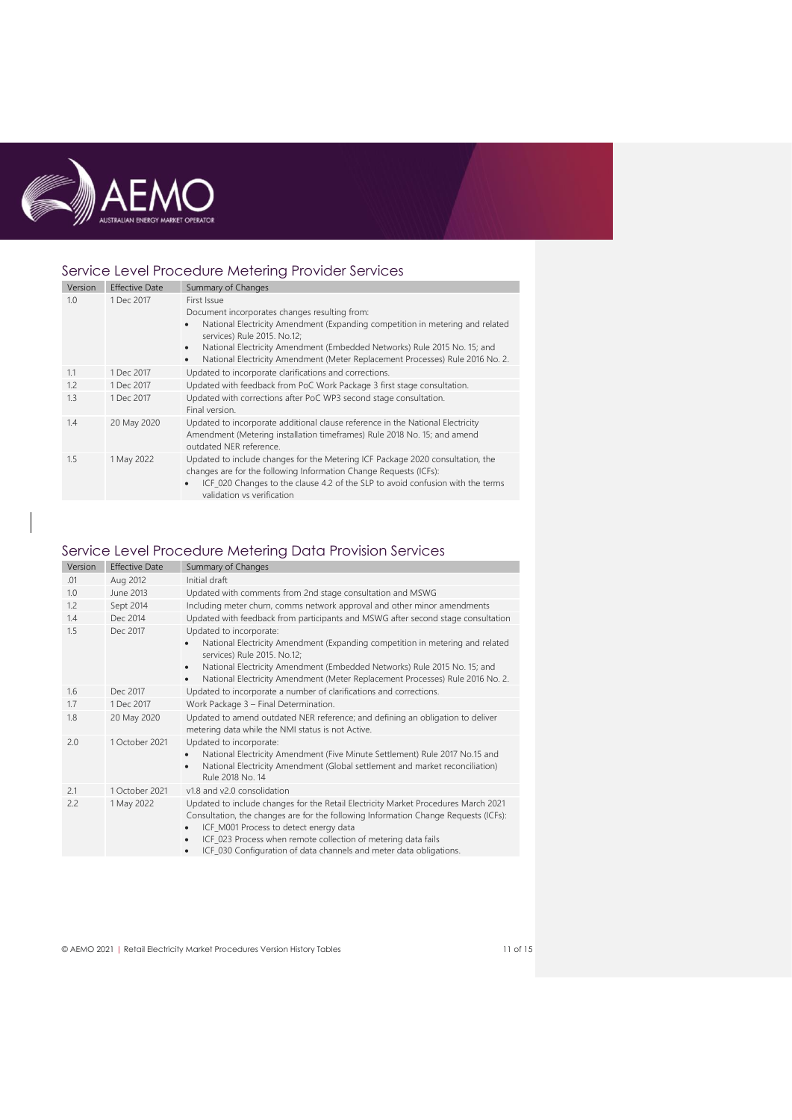

## Service Level Procedure Metering Provider Services

| Version | <b>Effective Date</b> | Summary of Changes                                                                                                                                                                                                                                                                                                                                                  |
|---------|-----------------------|---------------------------------------------------------------------------------------------------------------------------------------------------------------------------------------------------------------------------------------------------------------------------------------------------------------------------------------------------------------------|
| 1.0     | 1 Dec 2017            | First Issue<br>Document incorporates changes resulting from:<br>National Electricity Amendment (Expanding competition in metering and related<br>services) Rule 2015. No.12;<br>National Electricity Amendment (Embedded Networks) Rule 2015 No. 15; and<br>$\bullet$<br>National Electricity Amendment (Meter Replacement Processes) Rule 2016 No. 2.<br>$\bullet$ |
| 1.1     | 1 Dec 2017            | Updated to incorporate clarifications and corrections.                                                                                                                                                                                                                                                                                                              |
| 1.2     | 1 Dec 2017            | Updated with feedback from PoC Work Package 3 first stage consultation.                                                                                                                                                                                                                                                                                             |
| 1.3     | 1 Dec 2017            | Updated with corrections after PoC WP3 second stage consultation.<br>Final version.                                                                                                                                                                                                                                                                                 |
| 1.4     | 20 May 2020           | Updated to incorporate additional clause reference in the National Electricity<br>Amendment (Metering installation timeframes) Rule 2018 No. 15; and amend<br>outdated NER reference.                                                                                                                                                                               |
| 1.5     | 1 May 2022            | Updated to include changes for the Metering ICF Package 2020 consultation, the<br>changes are for the following Information Change Requests (ICFs):<br>ICF_020 Changes to the clause 4.2 of the SLP to avoid confusion with the terms<br>validation vs verification                                                                                                 |

# Service Level Procedure Metering Data Provision Services

| Version | <b>Effective Date</b> | Summary of Changes                                                                                                                                                                                                                                                                                                                                                                        |
|---------|-----------------------|-------------------------------------------------------------------------------------------------------------------------------------------------------------------------------------------------------------------------------------------------------------------------------------------------------------------------------------------------------------------------------------------|
| .01     | Aug 2012              | Initial draft                                                                                                                                                                                                                                                                                                                                                                             |
| 1.0     | June 2013             | Updated with comments from 2nd stage consultation and MSWG                                                                                                                                                                                                                                                                                                                                |
| 1.2     | Sept 2014             | Including meter churn, comms network approval and other minor amendments                                                                                                                                                                                                                                                                                                                  |
| 1.4     | Dec 2014              | Updated with feedback from participants and MSWG after second stage consultation                                                                                                                                                                                                                                                                                                          |
| 1.5     | Dec 2017              | Updated to incorporate:<br>National Electricity Amendment (Expanding competition in metering and related<br>services) Rule 2015. No.12;<br>National Electricity Amendment (Embedded Networks) Rule 2015 No. 15; and<br>$\bullet$<br>National Electricity Amendment (Meter Replacement Processes) Rule 2016 No. 2.<br>$\bullet$                                                            |
| 1.6     | Dec 2017              | Updated to incorporate a number of clarifications and corrections.                                                                                                                                                                                                                                                                                                                        |
| 1.7     | 1 Dec 2017            | Work Package 3 - Final Determination.                                                                                                                                                                                                                                                                                                                                                     |
| 1.8     | 20 May 2020           | Updated to amend outdated NER reference; and defining an obligation to deliver<br>metering data while the NMI status is not Active.                                                                                                                                                                                                                                                       |
| 2.0     | 1 October 2021        | Updated to incorporate:<br>National Electricity Amendment (Five Minute Settlement) Rule 2017 No.15 and<br>٠<br>National Electricity Amendment (Global settlement and market reconciliation)<br>٠<br>Rule 2018 No. 14                                                                                                                                                                      |
| 2.1     | 1 October 2021        | v1.8 and v2.0 consolidation                                                                                                                                                                                                                                                                                                                                                               |
| 2.2     | 1 May 2022            | Updated to include changes for the Retail Electricity Market Procedures March 2021<br>Consultation, the changes are for the following Information Change Requests (ICFs):<br>ICF_M001 Process to detect energy data<br>٠<br>ICF_023 Process when remote collection of metering data fails<br>$\bullet$<br>ICF_030 Configuration of data channels and meter data obligations.<br>$\bullet$ |

© AEMO 2021 | Retail Electricity Market Procedures Version History Tables 11 of 15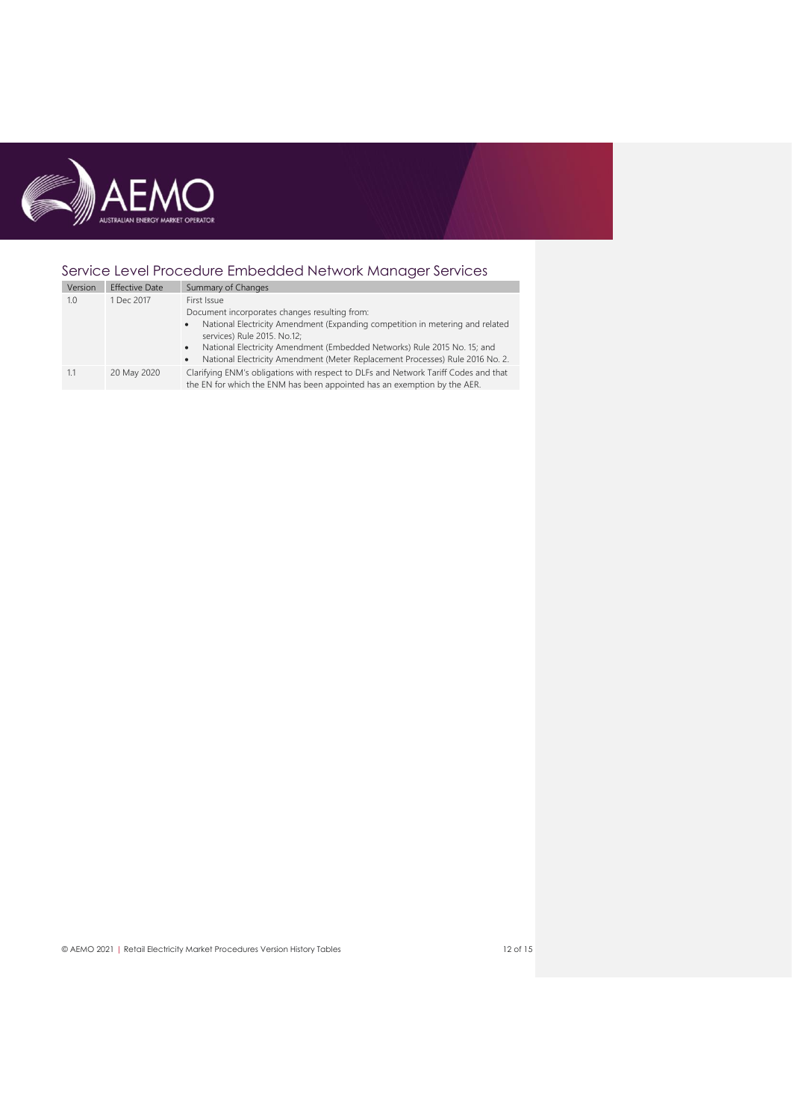

# Service Level Procedure Embedded Network Manager Services

| Version | <b>Effective Date</b> | Summary of Changes                                                                                                                                                                                                                                                                                                                                                               |
|---------|-----------------------|----------------------------------------------------------------------------------------------------------------------------------------------------------------------------------------------------------------------------------------------------------------------------------------------------------------------------------------------------------------------------------|
| 1.0     | 1 Dec 2017            | First Issue<br>Document incorporates changes resulting from:<br>National Electricity Amendment (Expanding competition in metering and related<br>$\bullet$<br>services) Rule 2015. No.12;<br>National Electricity Amendment (Embedded Networks) Rule 2015 No. 15; and<br>$\bullet$<br>National Electricity Amendment (Meter Replacement Processes) Rule 2016 No. 2.<br>$\bullet$ |
| 1.1     | 20 May 2020           | Clarifying ENM's obligations with respect to DLFs and Network Tariff Codes and that<br>the EN for which the ENM has been appointed has an exemption by the AER.                                                                                                                                                                                                                  |

© AEMO 2021 | Retail Electricity Market Procedures Version History Tables 12 of 15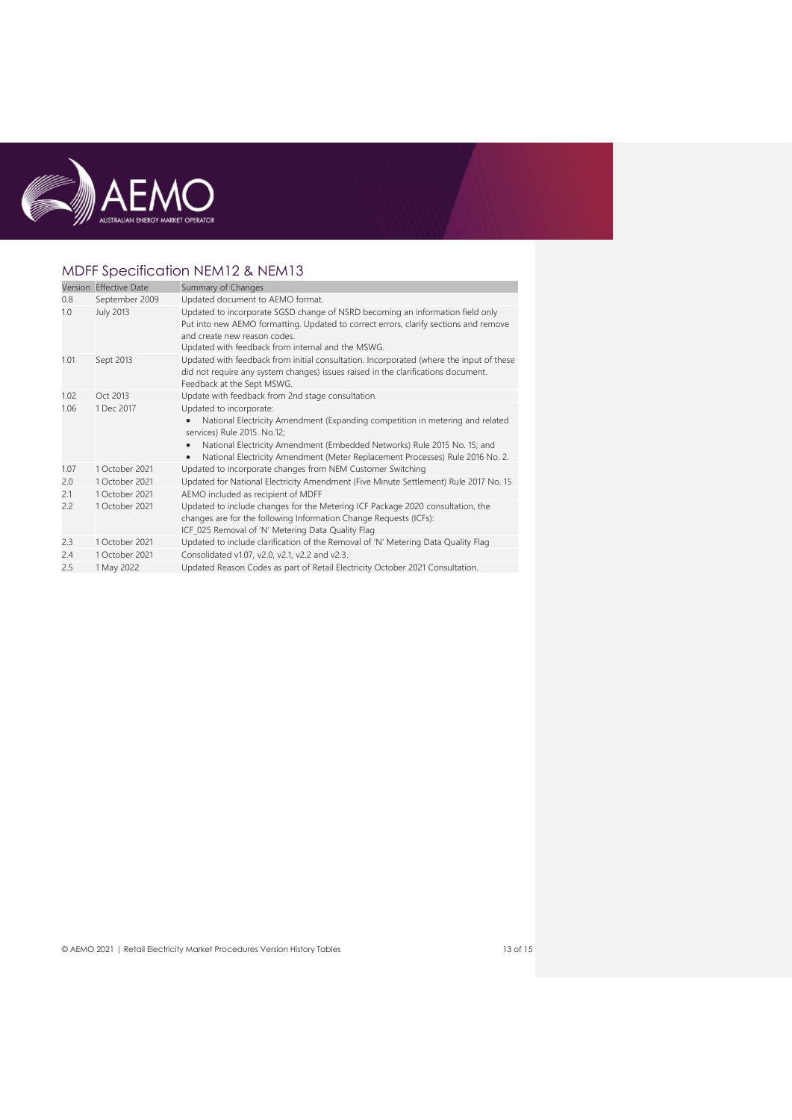

# MDFF Specification NEM12 & NEM13

|      | Version Effective Date | Summary of Changes                                                                                                                                                                                                                                                                                                |
|------|------------------------|-------------------------------------------------------------------------------------------------------------------------------------------------------------------------------------------------------------------------------------------------------------------------------------------------------------------|
| 0.8  | September 2009         | Updated document to AEMO format.                                                                                                                                                                                                                                                                                  |
| 1.0  | July 2013              | Updated to incorporate SGSD change of NSRD becoming an information field only<br>Put into new AEMO formatting. Updated to correct errors, clarify sections and remove<br>and create new reason codes.<br>Updated with feedback from internal and the MSWG.                                                        |
| 1.01 | Sept 2013              | Updated with feedback from initial consultation. Incorporated (where the input of these<br>did not require any system changes) issues raised in the clarifications document.<br>Feedback at the Sept MSWG.                                                                                                        |
| 1.02 | Oct 2013               | Update with feedback from 2nd stage consultation.                                                                                                                                                                                                                                                                 |
| 1.06 | 1 Dec 2017             | Updated to incorporate:<br>National Electricity Amendment (Expanding competition in metering and related<br>services) Rule 2015. No.12;<br>National Electricity Amendment (Embedded Networks) Rule 2015 No. 15; and<br>National Electricity Amendment (Meter Replacement Processes) Rule 2016 No. 2.<br>$\bullet$ |
| 1.07 | 1 October 2021         | Updated to incorporate changes from NEM Customer Switching                                                                                                                                                                                                                                                        |
| 2.0  | 1 October 2021         | Updated for National Electricity Amendment (Five Minute Settlement) Rule 2017 No. 15                                                                                                                                                                                                                              |
| 2.1  | 1 October 2021         | AEMO included as recipient of MDFF                                                                                                                                                                                                                                                                                |
| 2.2  | 1 October 2021         | Updated to include changes for the Metering ICF Package 2020 consultation, the<br>changes are for the following Information Change Requests (ICFs):<br>ICF_025 Removal of 'N' Metering Data Quality Flag                                                                                                          |
| 2.3  | 1 October 2021         | Updated to include clarification of the Removal of 'N' Metering Data Quality Flag                                                                                                                                                                                                                                 |
| 2.4  | 1 October 2021         | Consolidated v1.07, v2.0, v2.1, v2.2 and v2.3.                                                                                                                                                                                                                                                                    |
| 2.5  | 1 May 2022             | Updated Reason Codes as part of Retail Electricity October 2021 Consultation.                                                                                                                                                                                                                                     |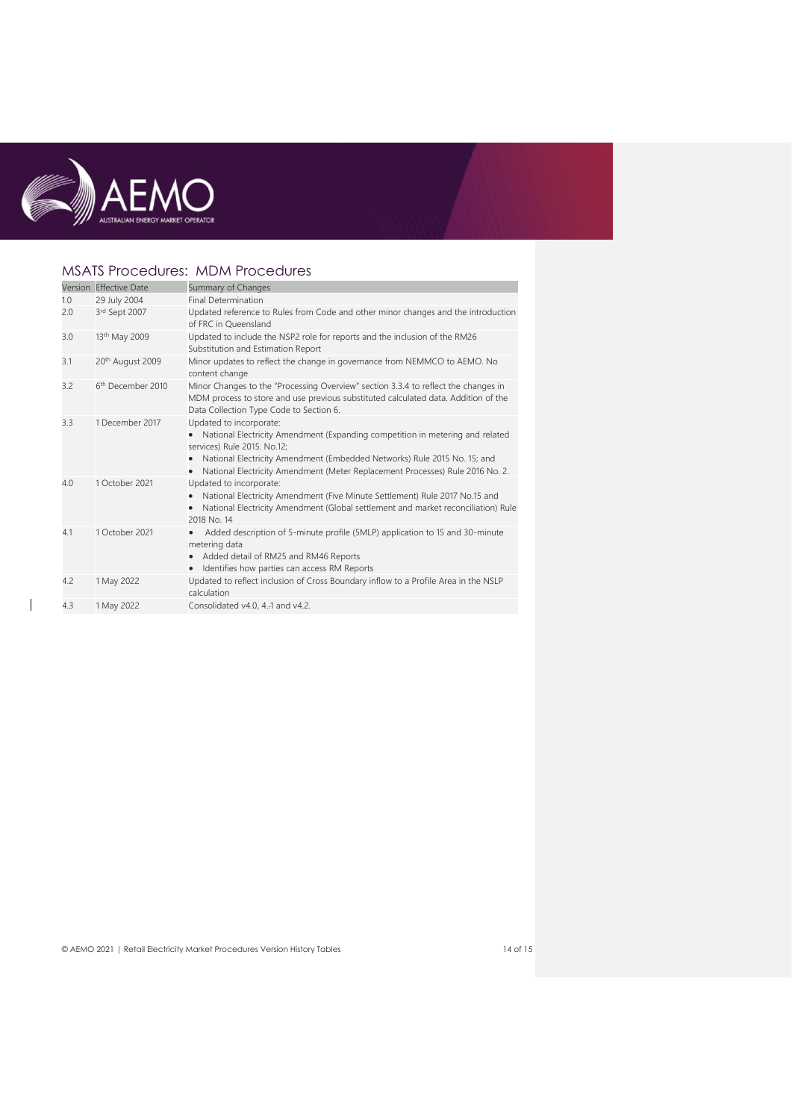

 $\overline{1}$ 

## MSATS Procedures: MDM Procedures

|     | Version Effective Date        | Summary of Changes                                                                                                                                                                                                                                                                                                          |
|-----|-------------------------------|-----------------------------------------------------------------------------------------------------------------------------------------------------------------------------------------------------------------------------------------------------------------------------------------------------------------------------|
| 1.0 | 29 July 2004                  | <b>Final Determination</b>                                                                                                                                                                                                                                                                                                  |
| 2.0 | 3rd Sept 2007                 | Updated reference to Rules from Code and other minor changes and the introduction<br>of FRC in Queensland                                                                                                                                                                                                                   |
| 3.0 | 13 <sup>th</sup> May 2009     | Updated to include the NSP2 role for reports and the inclusion of the RM26<br>Substitution and Estimation Report                                                                                                                                                                                                            |
| 3.1 | 20th August 2009              | Minor updates to reflect the change in governance from NEMMCO to AEMO. No<br>content change                                                                                                                                                                                                                                 |
| 3.2 | 6 <sup>th</sup> December 2010 | Minor Changes to the "Processing Overview" section 3.3.4 to reflect the changes in<br>MDM process to store and use previous substituted calculated data. Addition of the<br>Data Collection Type Code to Section 6.                                                                                                         |
| 3.3 | 1 December 2017               | Updated to incorporate:<br>National Electricity Amendment (Expanding competition in metering and related<br>$\bullet$<br>services) Rule 2015. No.12;<br>National Electricity Amendment (Embedded Networks) Rule 2015 No. 15; and<br>٠<br>National Electricity Amendment (Meter Replacement Processes) Rule 2016 No. 2.<br>٠ |
| 4.0 | 1 October 2021                | Updated to incorporate:<br>National Electricity Amendment (Five Minute Settlement) Rule 2017 No.15 and<br>٠<br>National Electricity Amendment (Global settlement and market reconciliation) Rule<br>$\bullet$<br>2018 No. 14                                                                                                |
| 4.1 | 1 October 2021                | Added description of 5-minute profile (5MLP) application to 15 and 30-minute<br>metering data<br>Added detail of RM25 and RM46 Reports<br>Identifies how parties can access RM Reports<br>$\bullet$                                                                                                                         |
| 4.2 | 1 May 2022                    | Updated to reflect inclusion of Cross Boundary inflow to a Profile Area in the NSLP<br>calculation                                                                                                                                                                                                                          |
| 4.3 | 1 May 2022                    | Consolidated v4.0, 4.-1 and v4.2.                                                                                                                                                                                                                                                                                           |
|     |                               |                                                                                                                                                                                                                                                                                                                             |